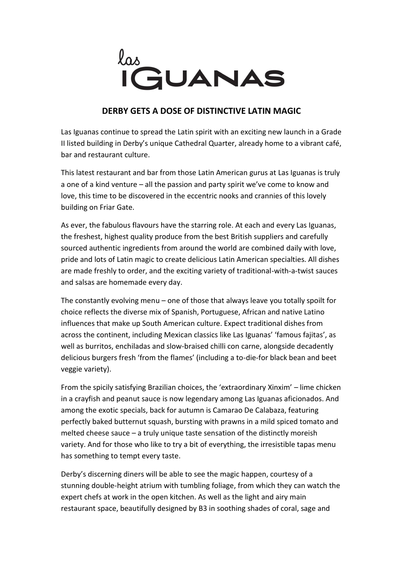

## **DERBY GETS A DOSE OF DISTINCTIVE LATIN MAGIC**

Las Iguanas continue to spread the Latin spirit with an exciting new launch in a Grade II listed building in Derby's unique Cathedral Quarter, already home to a vibrant café, bar and restaurant culture.

This latest restaurant and bar from those Latin American gurus at Las Iguanas is truly a one of a kind venture – all the passion and party spirit we've come to know and love, this time to be discovered in the eccentric nooks and crannies of this lovely building on Friar Gate.

As ever, the fabulous flavours have the starring role. At each and every Las Iguanas, the freshest, highest quality produce from the best British suppliers and carefully sourced authentic ingredients from around the world are combined daily with love, pride and lots of Latin magic to create delicious Latin American specialties. All dishes are made freshly to order, and the exciting variety of traditional-with-a-twist sauces and salsas are homemade every day.

The constantly evolving menu – one of those that always leave you totally spoilt for choice reflects the diverse mix of Spanish, Portuguese, African and native Latino influences that make up South American culture. Expect traditional dishes from across the continent, including Mexican classics like Las Iguanas' 'famous fajitas', as well as burritos, enchiladas and slow-braised chilli con carne, alongside decadently delicious burgers fresh 'from the flames' (including a to-die-for black bean and beet veggie variety).

From the spicily satisfying Brazilian choices, the 'extraordinary Xinxim' – lime chicken in a crayfish and peanut sauce is now legendary among Las Iguanas aficionados. And among the exotic specials, back for autumn is Camarao De Calabaza, featuring perfectly baked butternut squash, bursting with prawns in a mild spiced tomato and melted cheese sauce – a truly unique taste sensation of the distinctly moreish variety. And for those who like to try a bit of everything, the irresistible tapas menu has something to tempt every taste.

Derby's discerning diners will be able to see the magic happen, courtesy of a stunning double-height atrium with tumbling foliage, from which they can watch the expert chefs at work in the open kitchen. As well as the light and airy main restaurant space, beautifully designed by B3 in soothing shades of coral, sage and